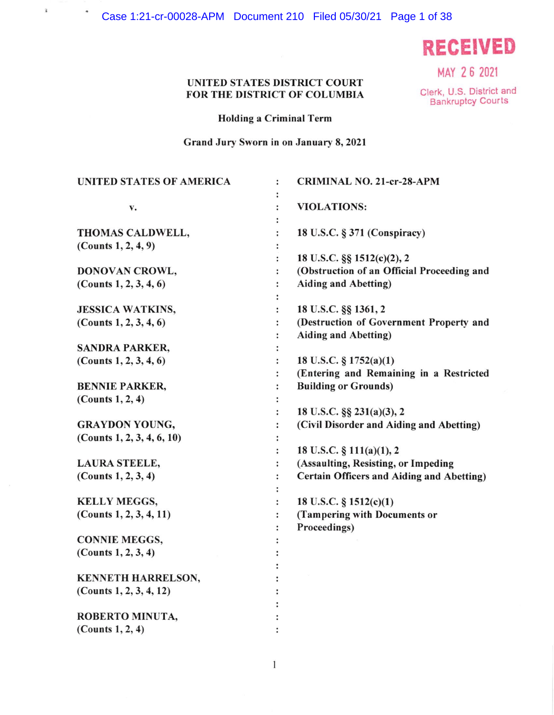Case 1:21-cr-00028-APM Document 210 Filed 05/30/21 Page 1 of 38

 $\hat{\textbf{i}}$ 

 $\bullet$ 

**RECEIVED** 

MAY 26 2021

## UNITED STATES DISTRICT COURT FOR THE DISTRICT OF COLUMBIA

Clerk, U.S. District and **Bankruptcy Courts** 

**Holding a Criminal Term** 

Grand Jury Sworn in on January 8, 2021

| <b>UNITED STATES OF AMERICA</b>          | <b>CRIMINAL NO. 21-cr-28-APM</b><br>$\ddot{\phantom{a}}$                  |
|------------------------------------------|---------------------------------------------------------------------------|
| v.                                       | <b>VIOLATIONS:</b>                                                        |
| THOMAS CALDWELL,                         | 18 U.S.C. § 371 (Conspiracy)                                              |
| (Counts $1, 2, 4, 9$ )                   |                                                                           |
|                                          | 18 U.S.C. §§ 1512(c)(2), 2                                                |
| DONOVAN CROWL,<br>(Counts 1, 2, 3, 4, 6) | (Obstruction of an Official Proceeding and<br><b>Aiding and Abetting)</b> |
|                                          |                                                                           |
| <b>JESSICA WATKINS,</b>                  | 18 U.S.C. §§ 1361, 2<br>$\ddot{\phantom{a}}$                              |
| (Counts 1, 2, 3, 4, 6)                   | (Destruction of Government Property and<br>$\ddot{\cdot}$                 |
|                                          | <b>Aiding and Abetting)</b>                                               |
| <b>SANDRA PARKER,</b>                    |                                                                           |
| (Counts 1, 2, 3, 4, 6)                   | 18 U.S.C. § 1752(a)(1)                                                    |
|                                          | (Entering and Remaining in a Restricted                                   |
| <b>BENNIE PARKER,</b>                    | <b>Building or Grounds)</b>                                               |
| (Counts 1, 2, 4)                         |                                                                           |
|                                          | 18 U.S.C. §§ 231(a)(3), 2                                                 |
| <b>GRAYDON YOUNG,</b>                    | (Civil Disorder and Aiding and Abetting)                                  |
| (Counts 1, 2, 3, 4, 6, 10)               |                                                                           |
|                                          | 18 U.S.C. § 111(a)(1), 2                                                  |
| <b>LAURA STEELE,</b>                     | (Assaulting, Resisting, or Impeding<br>:                                  |
| (Counts $1, 2, 3, 4$ )                   | <b>Certain Officers and Aiding and Abetting)</b>                          |
|                                          |                                                                           |
| <b>KELLY MEGGS,</b>                      | 18 U.S.C. § 1512(c)(1)                                                    |
| (Counts 1, 2, 3, 4, 11)                  | (Tampering with Documents or                                              |
|                                          | Proceedings)                                                              |
| <b>CONNIE MEGGS,</b>                     |                                                                           |
| (Counts $1, 2, 3, 4$ )                   |                                                                           |
| KENNETH HARRELSON,                       |                                                                           |
| (Counts 1, 2, 3, 4, 12)                  |                                                                           |
|                                          |                                                                           |
| ROBERTO MINUTA,                          |                                                                           |
| (Counts 1, 2, 4)                         |                                                                           |
|                                          |                                                                           |

 $\mathbf{1}$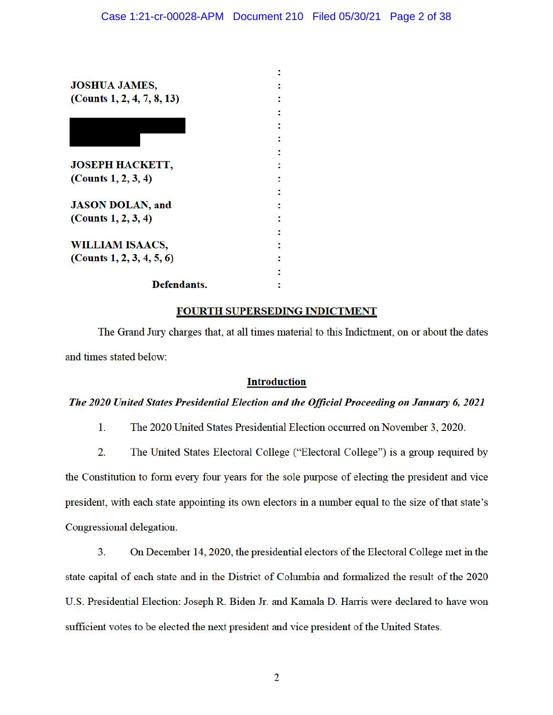| <b>JOSHUA JAMES,</b>          |  |
|-------------------------------|--|
| (Counts $1, 2, 4, 7, 8, 13$ ) |  |
|                               |  |
|                               |  |
|                               |  |
|                               |  |
| <b>JOSEPH HACKETT,</b>        |  |
| (Counts $1, 2, 3, 4$ )        |  |
|                               |  |
| <b>JASON DOLAN, and</b>       |  |
| (Counts $1, 2, 3, 4$ )        |  |
|                               |  |
| <b>WILLIAM ISAACS,</b>        |  |
| (Counts $1, 2, 3, 4, 5, 6$ )  |  |
|                               |  |
| Defendants.                   |  |

# FOURTH SUPERSEDING INDICTMENT

The Grand Jury charges that, at all times material to this Indictment, on or about the dates and times stated below:

### **Introduction**

# The 2020 United States Presidential Election and the Official Proceeding on January 6, 2021

- $1.$ The 2020 United States Presidential Election occurred on November 3, 2020.
- $2.$ The United States Electoral College ("Electoral College") is a group required by

the Constitution to form every four years for the sole purpose of electing the president and vice president, with each state appointing its own electors in a number equal to the size of that state's Congressional delegation.

 $3<sub>1</sub>$ On December 14, 2020, the presidential electors of the Electoral College met in the state capital of each state and in the District of Columbia and formalized the result of the 2020 U.S. Presidential Election: Joseph R. Biden Jr. and Kamala D. Harris were declared to have won sufficient votes to be elected the next president and vice president of the United States.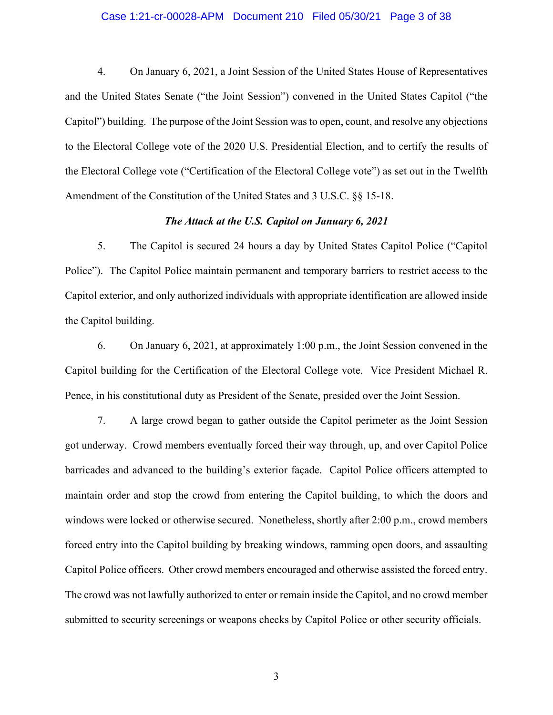#### Case 1:21-cr-00028-APM Document 210 Filed 05/30/21 Page 3 of 38

4. On January 6, 2021, a Joint Session of the United States House of Representatives and the United States Senate ("the Joint Session") convened in the United States Capitol ("the Capitol") building. The purpose of the Joint Session was to open, count, and resolve any objections to the Electoral College vote of the 2020 U.S. Presidential Election, and to certify the results of the Electoral College vote ("Certification of the Electoral College vote") as set out in the Twelfth Amendment of the Constitution of the United States and 3 U.S.C. §§ 15-18.

### *The Attack at the U.S. Capitol on January 6, 2021*

5. The Capitol is secured 24 hours a day by United States Capitol Police ("Capitol Police"). The Capitol Police maintain permanent and temporary barriers to restrict access to the Capitol exterior, and only authorized individuals with appropriate identification are allowed inside the Capitol building.

6. On January 6, 2021, at approximately 1:00 p.m., the Joint Session convened in the Capitol building for the Certification of the Electoral College vote. Vice President Michael R. Pence, in his constitutional duty as President of the Senate, presided over the Joint Session.

7. A large crowd began to gather outside the Capitol perimeter as the Joint Session got underway. Crowd members eventually forced their way through, up, and over Capitol Police barricades and advanced to the building's exterior façade. Capitol Police officers attempted to maintain order and stop the crowd from entering the Capitol building, to which the doors and windows were locked or otherwise secured. Nonetheless, shortly after 2:00 p.m., crowd members forced entry into the Capitol building by breaking windows, ramming open doors, and assaulting Capitol Police officers. Other crowd members encouraged and otherwise assisted the forced entry. The crowd was not lawfully authorized to enter or remain inside the Capitol, and no crowd member submitted to security screenings or weapons checks by Capitol Police or other security officials.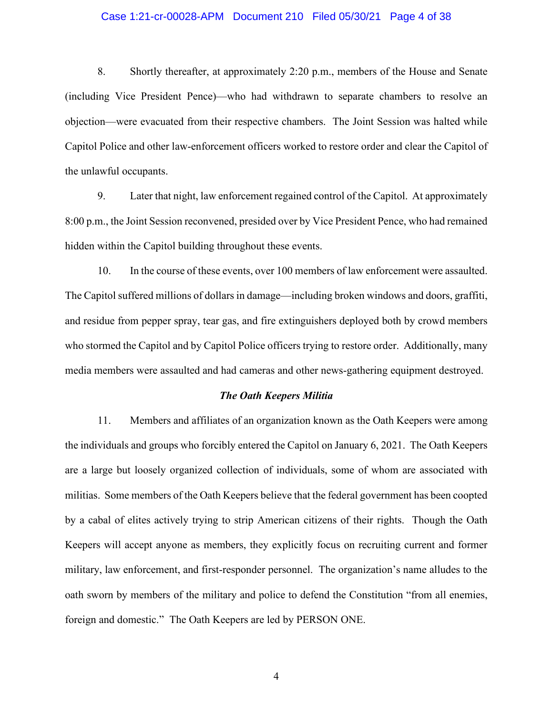#### Case 1:21-cr-00028-APM Document 210 Filed 05/30/21 Page 4 of 38

8. Shortly thereafter, at approximately 2:20 p.m., members of the House and Senate (including Vice President Pence)—who had withdrawn to separate chambers to resolve an objection—were evacuated from their respective chambers. The Joint Session was halted while Capitol Police and other law-enforcement officers worked to restore order and clear the Capitol of the unlawful occupants.

9. Later that night, law enforcement regained control of the Capitol. At approximately 8:00 p.m., the Joint Session reconvened, presided over by Vice President Pence, who had remained hidden within the Capitol building throughout these events.

10. In the course of these events, over 100 members of law enforcement were assaulted. The Capitol suffered millions of dollars in damage—including broken windows and doors, graffiti, and residue from pepper spray, tear gas, and fire extinguishers deployed both by crowd members who stormed the Capitol and by Capitol Police officers trying to restore order. Additionally, many media members were assaulted and had cameras and other news-gathering equipment destroyed.

#### *The Oath Keepers Militia*

11. Members and affiliates of an organization known as the Oath Keepers were among the individuals and groups who forcibly entered the Capitol on January 6, 2021. The Oath Keepers are a large but loosely organized collection of individuals, some of whom are associated with militias. Some members of the Oath Keepers believe that the federal government has been coopted by a cabal of elites actively trying to strip American citizens of their rights. Though the Oath Keepers will accept anyone as members, they explicitly focus on recruiting current and former military, law enforcement, and first-responder personnel. The organization's name alludes to the oath sworn by members of the military and police to defend the Constitution "from all enemies, foreign and domestic." The Oath Keepers are led by PERSON ONE.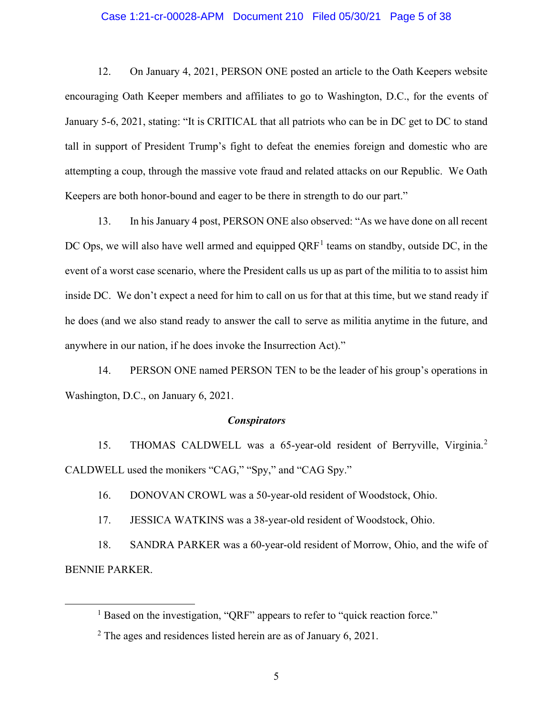#### Case 1:21-cr-00028-APM Document 210 Filed 05/30/21 Page 5 of 38

12. On January 4, 2021, PERSON ONE posted an article to the Oath Keepers website encouraging Oath Keeper members and affiliates to go to Washington, D.C., for the events of January 5-6, 2021, stating: "It is CRITICAL that all patriots who can be in DC get to DC to stand tall in support of President Trump's fight to defeat the enemies foreign and domestic who are attempting a coup, through the massive vote fraud and related attacks on our Republic. We Oath Keepers are both honor-bound and eager to be there in strength to do our part."

13. In his January 4 post, PERSON ONE also observed: "As we have done on all recent DC Ops, we will also have well armed and equipped  $QRF<sup>1</sup>$  teams on standby, outside DC, in the event of a worst case scenario, where the President calls us up as part of the militia to to assist him inside DC. We don't expect a need for him to call on us for that at this time, but we stand ready if he does (and we also stand ready to answer the call to serve as militia anytime in the future, and anywhere in our nation, if he does invoke the Insurrection Act)."

14. PERSON ONE named PERSON TEN to be the leader of his group's operations in Washington, D.C., on January 6, 2021.

#### *Conspirators*

15. THOMAS CALDWELL was a 65-year-old resident of Berryville, Virginia.<sup>2</sup> CALDWELL used the monikers "CAG," "Spy," and "CAG Spy."

16. DONOVAN CROWL was a 50-year-old resident of Woodstock, Ohio.

17. JESSICA WATKINS was a 38-year-old resident of Woodstock, Ohio.

18. SANDRA PARKER was a 60-year-old resident of Morrow, Ohio, and the wife of BENNIE PARKER.

<sup>&</sup>lt;sup>1</sup> Based on the investigation, "QRF" appears to refer to "quick reaction force."

 $2$  The ages and residences listed herein are as of January 6, 2021.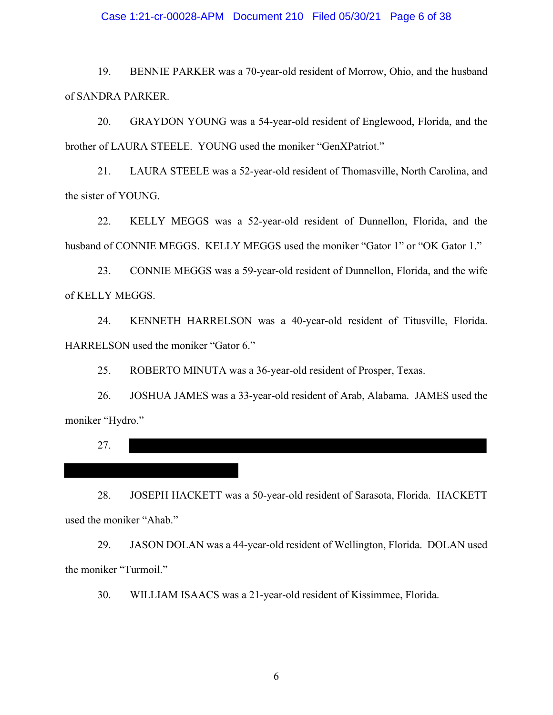#### Case 1:21-cr-00028-APM Document 210 Filed 05/30/21 Page 6 of 38

19. BENNIE PARKER was a 70-year-old resident of Morrow, Ohio, and the husband of SANDRA PARKER.

20. GRAYDON YOUNG was a 54-year-old resident of Englewood, Florida, and the brother of LAURA STEELE. YOUNG used the moniker "GenXPatriot."

21. LAURA STEELE was a 52-year-old resident of Thomasville, North Carolina, and the sister of YOUNG.

22. KELLY MEGGS was a 52-year-old resident of Dunnellon, Florida, and the husband of CONNIE MEGGS. KELLY MEGGS used the moniker "Gator 1" or "OK Gator 1."

23. CONNIE MEGGS was a 59-year-old resident of Dunnellon, Florida, and the wife of KELLY MEGGS.

24. KENNETH HARRELSON was a 40-year-old resident of Titusville, Florida. HARRELSON used the moniker "Gator 6."

25. ROBERTO MINUTA was a 36-year-old resident of Prosper, Texas.

26. JOSHUA JAMES was a 33-year-old resident of Arab, Alabama. JAMES used the moniker "Hydro."

27.

28. JOSEPH HACKETT was a 50-year-old resident of Sarasota, Florida. HACKETT used the moniker "Ahab."

29. JASON DOLAN was a 44-year-old resident of Wellington, Florida. DOLAN used the moniker "Turmoil."

30. WILLIAM ISAACS was a 21-year-old resident of Kissimmee, Florida.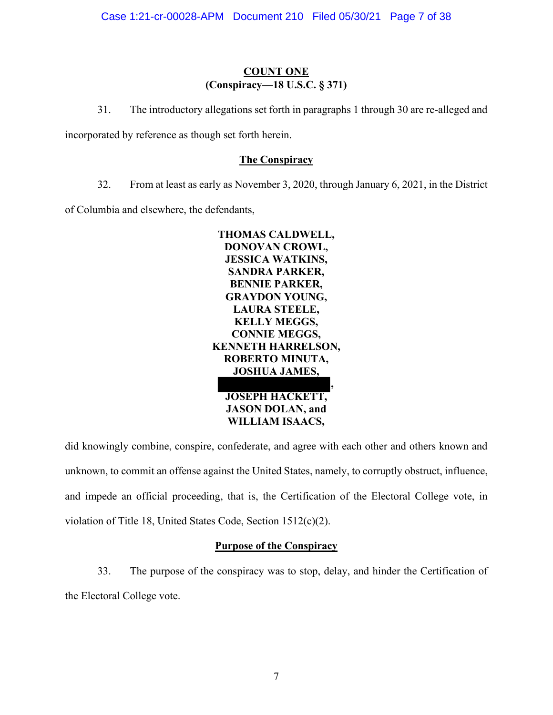# **COUNT ONE (Conspiracy—18 U.S.C. § 371)**

31. The introductory allegations set forth in paragraphs 1 through 30 are re-alleged and

incorporated by reference as though set forth herein.

# **The Conspiracy**

32. From at least as early as November 3, 2020, through January 6, 2021, in the District

of Columbia and elsewhere, the defendants,



**JOSEPH HACKETT, JASON DOLAN, and WILLIAM ISAACS,**

did knowingly combine, conspire, confederate, and agree with each other and others known and unknown, to commit an offense against the United States, namely, to corruptly obstruct, influence, and impede an official proceeding, that is, the Certification of the Electoral College vote, in violation of Title 18, United States Code, Section 1512(c)(2).

# **Purpose of the Conspiracy**

33. The purpose of the conspiracy was to stop, delay, and hinder the Certification of the Electoral College vote.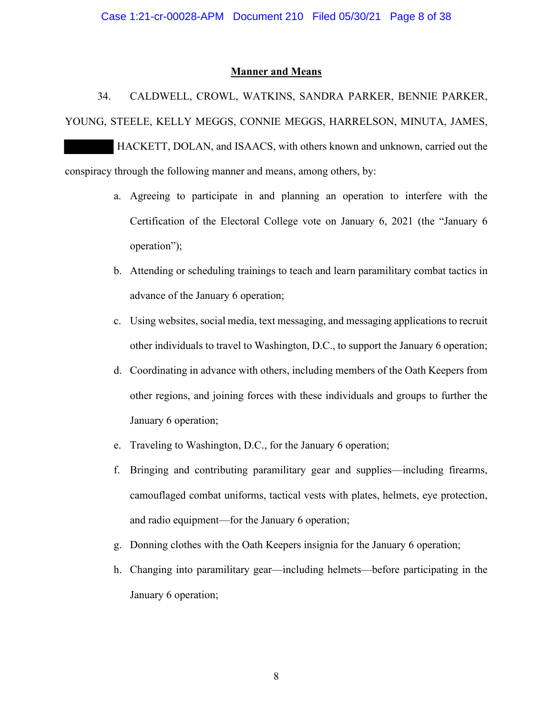### **Manner and Means**

34. CALDWELL, CROWL, WATKINS, SANDRA PARKER, BENNIE PARKER, YOUNG, STEELE, KELLY MEGGS, CONNIE MEGGS, HARRELSON, MINUTA, JAMES,

 HACKETT, DOLAN, and ISAACS, with others known and unknown, carried out the conspiracy through the following manner and means, among others, by:

- a. Agreeing to participate in and planning an operation to interfere with the Certification of the Electoral College vote on January 6, 2021 (the "January 6 operation");
- b. Attending or scheduling trainings to teach and learn paramilitary combat tactics in advance of the January 6 operation;
- c. Using websites, social media, text messaging, and messaging applications to recruit other individuals to travel to Washington, D.C., to support the January 6 operation;
- d. Coordinating in advance with others, including members of the Oath Keepers from other regions, and joining forces with these individuals and groups to further the January 6 operation;
- e. Traveling to Washington, D.C., for the January 6 operation;
- f. Bringing and contributing paramilitary gear and supplies—including firearms, camouflaged combat uniforms, tactical vests with plates, helmets, eye protection, and radio equipment—for the January 6 operation;
- g. Donning clothes with the Oath Keepers insignia for the January 6 operation;
- h. Changing into paramilitary gear—including helmets—before participating in the January 6 operation;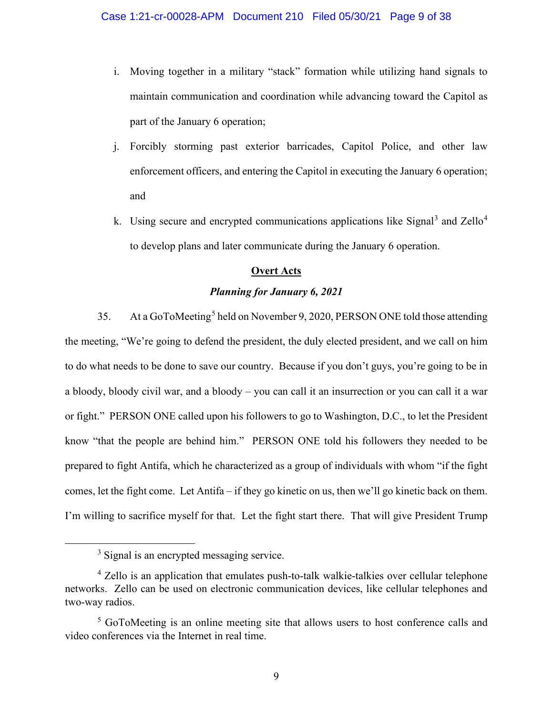- i. Moving together in a military "stack" formation while utilizing hand signals to maintain communication and coordination while advancing toward the Capitol as part of the January 6 operation;
- j. Forcibly storming past exterior barricades, Capitol Police, and other law enforcement officers, and entering the Capitol in executing the January 6 operation; and
- k. Using secure and encrypted communications applications like Signal<sup>3</sup> and Zello<sup>4</sup> to develop plans and later communicate during the January 6 operation.

# **Overt Acts**

### *Planning for January 6, 2021*

35. At a GoToMeeting<sup>5</sup> held on November 9, 2020, PERSON ONE told those attending the meeting, "We're going to defend the president, the duly elected president, and we call on him to do what needs to be done to save our country. Because if you don't guys, you're going to be in a bloody, bloody civil war, and a bloody – you can call it an insurrection or you can call it a war or fight." PERSON ONE called upon his followers to go to Washington, D.C., to let the President know "that the people are behind him." PERSON ONE told his followers they needed to be prepared to fight Antifa, which he characterized as a group of individuals with whom "if the fight comes, let the fight come. Let Antifa – if they go kinetic on us, then we'll go kinetic back on them. I'm willing to sacrifice myself for that. Let the fight start there. That will give President Trump

<sup>&</sup>lt;sup>3</sup> Signal is an encrypted messaging service.

<sup>4</sup> Zello is an application that emulates push-to-talk walkie-talkies over cellular telephone networks. Zello can be used on electronic communication devices, like cellular telephones and two-way radios.

<sup>&</sup>lt;sup>5</sup> GoToMeeting is an online meeting site that allows users to host conference calls and video conferences via the Internet in real time.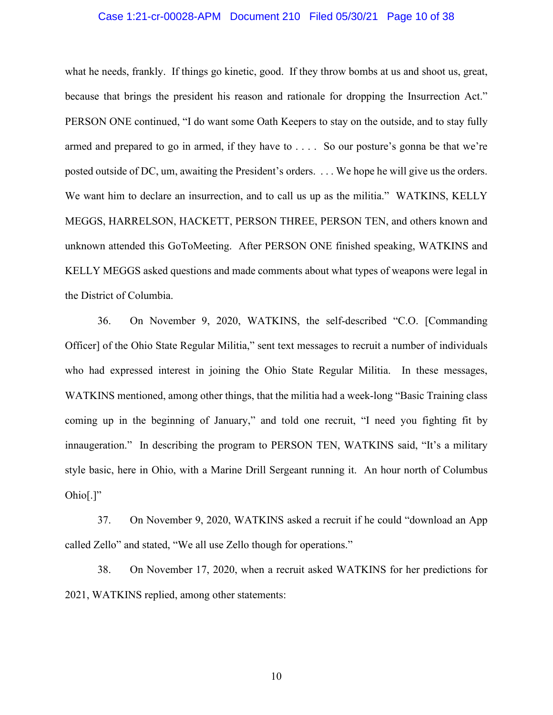#### Case 1:21-cr-00028-APM Document 210 Filed 05/30/21 Page 10 of 38

what he needs, frankly. If things go kinetic, good. If they throw bombs at us and shoot us, great, because that brings the president his reason and rationale for dropping the Insurrection Act." PERSON ONE continued, "I do want some Oath Keepers to stay on the outside, and to stay fully armed and prepared to go in armed, if they have to . . . . So our posture's gonna be that we're posted outside of DC, um, awaiting the President's orders. . . . We hope he will give us the orders. We want him to declare an insurrection, and to call us up as the militia." WATKINS, KELLY MEGGS, HARRELSON, HACKETT, PERSON THREE, PERSON TEN, and others known and unknown attended this GoToMeeting. After PERSON ONE finished speaking, WATKINS and KELLY MEGGS asked questions and made comments about what types of weapons were legal in the District of Columbia.

36. On November 9, 2020, WATKINS, the self-described "C.O. [Commanding Officer] of the Ohio State Regular Militia," sent text messages to recruit a number of individuals who had expressed interest in joining the Ohio State Regular Militia. In these messages, WATKINS mentioned, among other things, that the militia had a week-long "Basic Training class coming up in the beginning of January," and told one recruit, "I need you fighting fit by innaugeration." In describing the program to PERSON TEN, WATKINS said, "It's a military style basic, here in Ohio, with a Marine Drill Sergeant running it. An hour north of Columbus  $Ohio[.]"$ 

37. On November 9, 2020, WATKINS asked a recruit if he could "download an App called Zello" and stated, "We all use Zello though for operations."

38. On November 17, 2020, when a recruit asked WATKINS for her predictions for 2021, WATKINS replied, among other statements: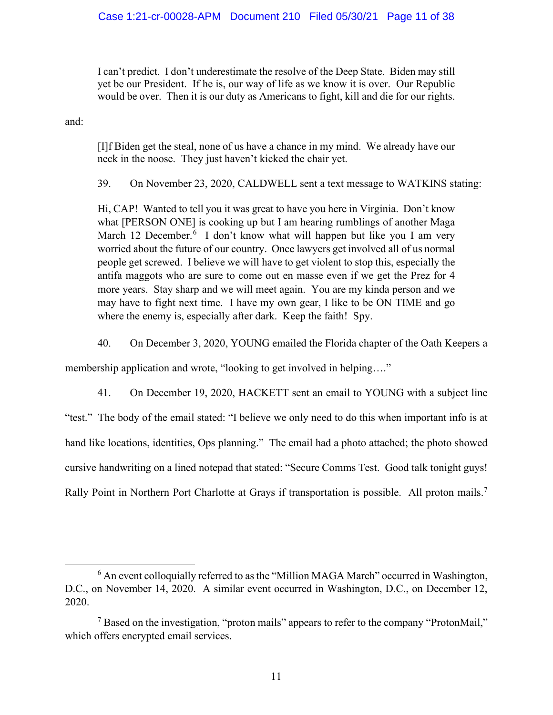I can't predict. I don't underestimate the resolve of the Deep State. Biden may still yet be our President. If he is, our way of life as we know it is over. Our Republic would be over. Then it is our duty as Americans to fight, kill and die for our rights.

and:

[I]f Biden get the steal, none of us have a chance in my mind. We already have our neck in the noose. They just haven't kicked the chair yet.

39. On November 23, 2020, CALDWELL sent a text message to WATKINS stating:

Hi, CAP! Wanted to tell you it was great to have you here in Virginia. Don't know what [PERSON ONE] is cooking up but I am hearing rumblings of another Maga March 12 December.<sup>6</sup> I don't know what will happen but like you I am very worried about the future of our country. Once lawyers get involved all of us normal people get screwed. I believe we will have to get violent to stop this, especially the antifa maggots who are sure to come out en masse even if we get the Prez for 4 more years. Stay sharp and we will meet again. You are my kinda person and we may have to fight next time. I have my own gear, I like to be ON TIME and go where the enemy is, especially after dark. Keep the faith! Spy.

40. On December 3, 2020, YOUNG emailed the Florida chapter of the Oath Keepers a

membership application and wrote, "looking to get involved in helping...."

41. On December 19, 2020, HACKETT sent an email to YOUNG with a subject line "test." The body of the email stated: "I believe we only need to do this when important info is at hand like locations, identities, Ops planning." The email had a photo attached; the photo showed cursive handwriting on a lined notepad that stated: "Secure Comms Test. Good talk tonight guys! Rally Point in Northern Port Charlotte at Grays if transportation is possible. All proton mails.<sup>7</sup>

<sup>&</sup>lt;sup>6</sup> An event colloquially referred to as the "Million MAGA March" occurred in Washington, D.C., on November 14, 2020. A similar event occurred in Washington, D.C., on December 12, 2020.

 $<sup>7</sup>$  Based on the investigation, "proton mails" appears to refer to the company "ProtonMail,"</sup> which offers encrypted email services.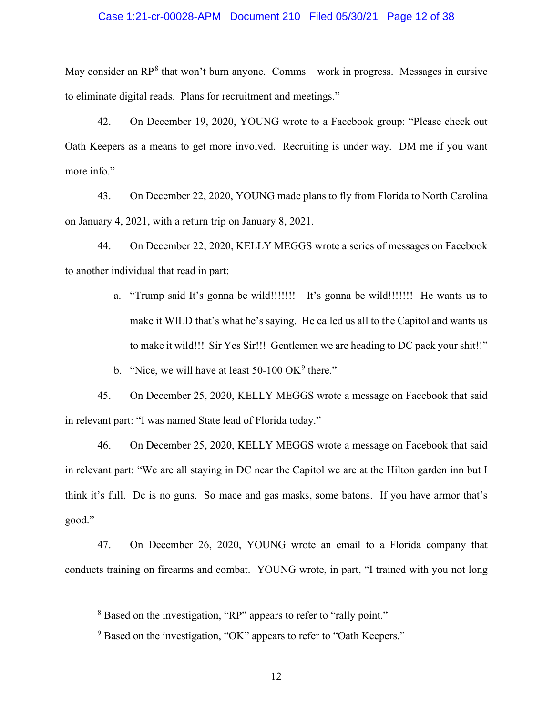#### Case 1:21-cr-00028-APM Document 210 Filed 05/30/21 Page 12 of 38

May consider an  $RP^8$  that won't burn anyone. Comms – work in progress. Messages in cursive to eliminate digital reads. Plans for recruitment and meetings."

42. On December 19, 2020, YOUNG wrote to a Facebook group: "Please check out Oath Keepers as a means to get more involved. Recruiting is under way. DM me if you want more info."

43. On December 22, 2020, YOUNG made plans to fly from Florida to North Carolina on January 4, 2021, with a return trip on January 8, 2021.

44. On December 22, 2020, KELLY MEGGS wrote a series of messages on Facebook to another individual that read in part:

> a. "Trump said It's gonna be wild!!!!!!! It's gonna be wild!!!!!!! He wants us to make it WILD that's what he's saying. He called us all to the Capitol and wants us to make it wild!!! Sir Yes Sir!!! Gentlemen we are heading to DC pack your shit!!"

b. "Nice, we will have at least  $50-100$  OK<sup>9</sup> there."

45. On December 25, 2020, KELLY MEGGS wrote a message on Facebook that said in relevant part: "I was named State lead of Florida today."

46. On December 25, 2020, KELLY MEGGS wrote a message on Facebook that said in relevant part: "We are all staying in DC near the Capitol we are at the Hilton garden inn but I think it's full. Dc is no guns. So mace and gas masks, some batons. If you have armor that's good."

47. On December 26, 2020, YOUNG wrote an email to a Florida company that conducts training on firearms and combat. YOUNG wrote, in part, "I trained with you not long

<sup>&</sup>lt;sup>8</sup> Based on the investigation, "RP" appears to refer to "rally point."

<sup>&</sup>lt;sup>9</sup> Based on the investigation, "OK" appears to refer to "Oath Keepers."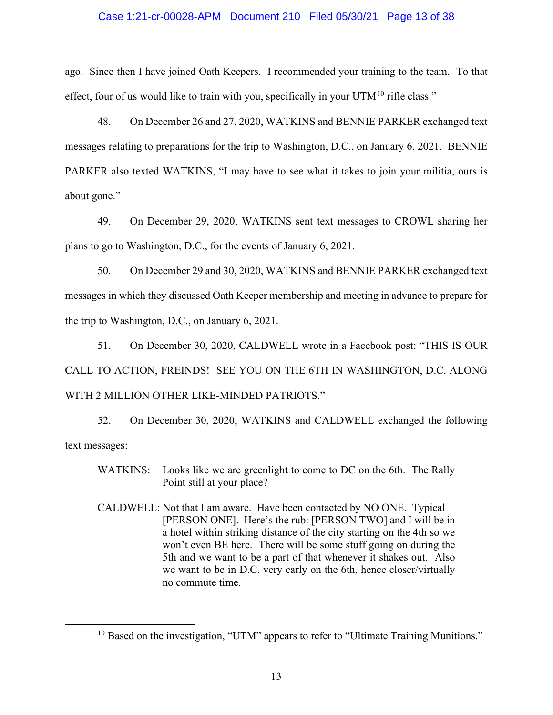#### Case 1:21-cr-00028-APM Document 210 Filed 05/30/21 Page 13 of 38

ago. Since then I have joined Oath Keepers. I recommended your training to the team. To that effect, four of us would like to train with you, specifically in your  $UTM<sup>10</sup>$  rifle class."

48. On December 26 and 27, 2020, WATKINS and BENNIE PARKER exchanged text messages relating to preparations for the trip to Washington, D.C., on January 6, 2021. BENNIE PARKER also texted WATKINS, "I may have to see what it takes to join your militia, ours is about gone."

49. On December 29, 2020, WATKINS sent text messages to CROWL sharing her plans to go to Washington, D.C., for the events of January 6, 2021.

50. On December 29 and 30, 2020, WATKINS and BENNIE PARKER exchanged text messages in which they discussed Oath Keeper membership and meeting in advance to prepare for the trip to Washington, D.C., on January 6, 2021.

51. On December 30, 2020, CALDWELL wrote in a Facebook post: "THIS IS OUR CALL TO ACTION, FREINDS! SEE YOU ON THE 6TH IN WASHINGTON, D.C. ALONG WITH 2 MILLION OTHER LIKE-MINDED PATRIOTS."

52. On December 30, 2020, WATKINS and CALDWELL exchanged the following text messages:

- WATKINS: Looks like we are greenlight to come to DC on the 6th. The Rally Point still at your place?
- CALDWELL: Not that I am aware. Have been contacted by NO ONE. Typical [PERSON ONE]. Here's the rub: [PERSON TWO] and I will be in a hotel within striking distance of the city starting on the 4th so we won't even BE here. There will be some stuff going on during the 5th and we want to be a part of that whenever it shakes out. Also we want to be in D.C. very early on the 6th, hence closer/virtually no commute time.

 $10$  Based on the investigation, "UTM" appears to refer to "Ultimate Training Munitions."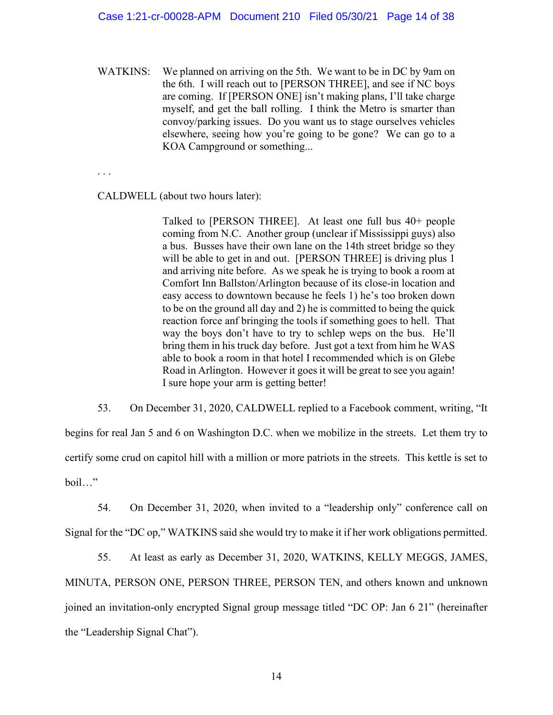WATKINS: We planned on arriving on the 5th. We want to be in DC by 9am on the 6th. I will reach out to [PERSON THREE], and see if NC boys are coming. If [PERSON ONE] isn't making plans, I'll take charge myself, and get the ball rolling. I think the Metro is smarter than convoy/parking issues. Do you want us to stage ourselves vehicles elsewhere, seeing how you're going to be gone? We can go to a KOA Campground or something...

. . .

CALDWELL (about two hours later):

Talked to [PERSON THREE]. At least one full bus 40+ people coming from N.C. Another group (unclear if Mississippi guys) also a bus. Busses have their own lane on the 14th street bridge so they will be able to get in and out. [PERSON THREE] is driving plus 1 and arriving nite before. As we speak he is trying to book a room at Comfort Inn Ballston/Arlington because of its close-in location and easy access to downtown because he feels 1) he's too broken down to be on the ground all day and 2) he is committed to being the quick reaction force anf bringing the tools if something goes to hell. That way the boys don't have to try to schlep weps on the bus. He'll bring them in his truck day before. Just got a text from him he WAS able to book a room in that hotel I recommended which is on Glebe Road in Arlington. However it goes it will be great to see you again! I sure hope your arm is getting better!

53. On December 31, 2020, CALDWELL replied to a Facebook comment, writing, "It begins for real Jan 5 and 6 on Washington D.C. when we mobilize in the streets. Let them try to certify some crud on capitol hill with a million or more patriots in the streets. This kettle is set to boil…"

54. On December 31, 2020, when invited to a "leadership only" conference call on Signal for the "DC op," WATKINS said she would try to make it if her work obligations permitted.

55. At least as early as December 31, 2020, WATKINS, KELLY MEGGS, JAMES, MINUTA, PERSON ONE, PERSON THREE, PERSON TEN, and others known and unknown joined an invitation-only encrypted Signal group message titled "DC OP: Jan 6 21" (hereinafter the "Leadership Signal Chat").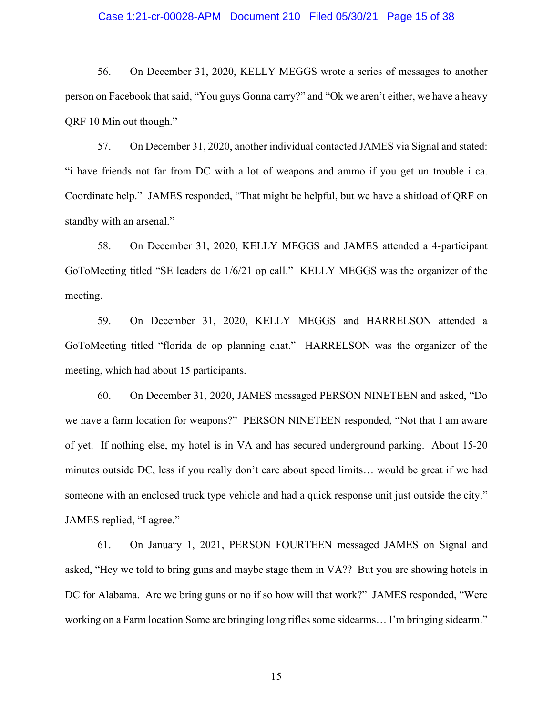#### Case 1:21-cr-00028-APM Document 210 Filed 05/30/21 Page 15 of 38

56. On December 31, 2020, KELLY MEGGS wrote a series of messages to another person on Facebook that said, "You guys Gonna carry?" and "Ok we aren't either, we have a heavy QRF 10 Min out though."

57. On December 31, 2020, another individual contacted JAMES via Signal and stated: "i have friends not far from DC with a lot of weapons and ammo if you get un trouble i ca. Coordinate help." JAMES responded, "That might be helpful, but we have a shitload of QRF on standby with an arsenal."

58. On December 31, 2020, KELLY MEGGS and JAMES attended a 4-participant GoToMeeting titled "SE leaders dc 1/6/21 op call." KELLY MEGGS was the organizer of the meeting.

59. On December 31, 2020, KELLY MEGGS and HARRELSON attended a GoToMeeting titled "florida dc op planning chat." HARRELSON was the organizer of the meeting, which had about 15 participants.

60. On December 31, 2020, JAMES messaged PERSON NINETEEN and asked, "Do we have a farm location for weapons?" PERSON NINETEEN responded, "Not that I am aware of yet. If nothing else, my hotel is in VA and has secured underground parking. About 15-20 minutes outside DC, less if you really don't care about speed limits… would be great if we had someone with an enclosed truck type vehicle and had a quick response unit just outside the city." JAMES replied, "I agree."

61. On January 1, 2021, PERSON FOURTEEN messaged JAMES on Signal and asked, "Hey we told to bring guns and maybe stage them in VA?? But you are showing hotels in DC for Alabama. Are we bring guns or no if so how will that work?" JAMES responded, "Were working on a Farm location Some are bringing long rifles some sidearms… I'm bringing sidearm."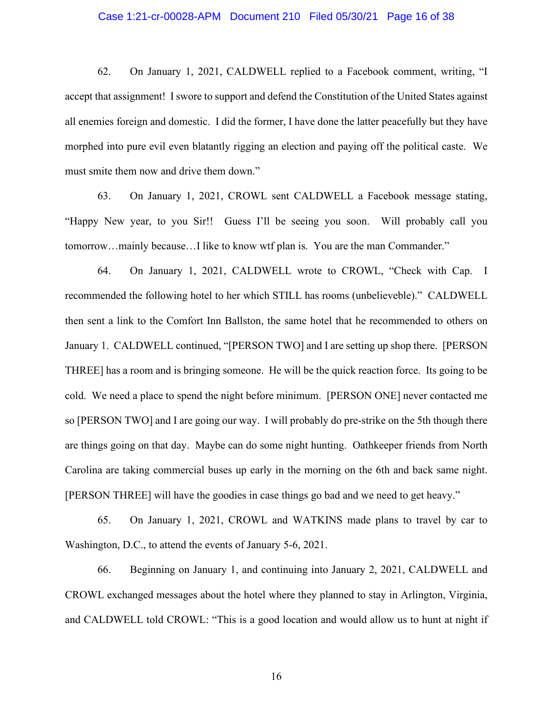#### Case 1:21-cr-00028-APM Document 210 Filed 05/30/21 Page 16 of 38

62. On January 1, 2021, CALDWELL replied to a Facebook comment, writing, "I accept that assignment! I swore to support and defend the Constitution of the United States against all enemies foreign and domestic. I did the former, I have done the latter peacefully but they have morphed into pure evil even blatantly rigging an election and paying off the political caste. We must smite them now and drive them down."

63. On January 1, 2021, CROWL sent CALDWELL a Facebook message stating, "Happy New year, to you Sir!! Guess I'll be seeing you soon. Will probably call you tomorrow…mainly because…I like to know wtf plan is. You are the man Commander."

64. On January 1, 2021, CALDWELL wrote to CROWL, "Check with Cap. I recommended the following hotel to her which STILL has rooms (unbelieveble)." CALDWELL then sent a link to the Comfort Inn Ballston, the same hotel that he recommended to others on January 1. CALDWELL continued, "[PERSON TWO] and I are setting up shop there. [PERSON THREE] has a room and is bringing someone. He will be the quick reaction force. Its going to be cold. We need a place to spend the night before minimum. [PERSON ONE] never contacted me so [PERSON TWO] and I are going our way. I will probably do pre-strike on the 5th though there are things going on that day. Maybe can do some night hunting. Oathkeeper friends from North Carolina are taking commercial buses up early in the morning on the 6th and back same night. [PERSON THREE] will have the goodies in case things go bad and we need to get heavy."

65. On January 1, 2021, CROWL and WATKINS made plans to travel by car to Washington, D.C., to attend the events of January 5-6, 2021.

66. Beginning on January 1, and continuing into January 2, 2021, CALDWELL and CROWL exchanged messages about the hotel where they planned to stay in Arlington, Virginia, and CALDWELL told CROWL: "This is a good location and would allow us to hunt at night if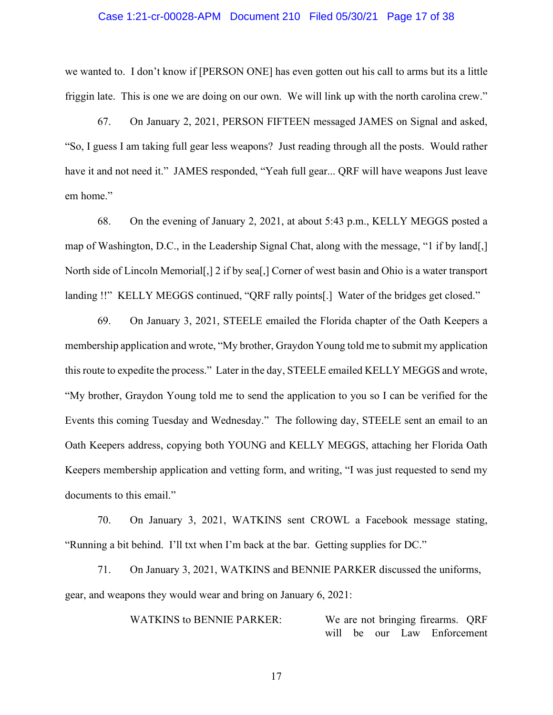#### Case 1:21-cr-00028-APM Document 210 Filed 05/30/21 Page 17 of 38

we wanted to. I don't know if [PERSON ONE] has even gotten out his call to arms but its a little friggin late. This is one we are doing on our own. We will link up with the north carolina crew."

67. On January 2, 2021, PERSON FIFTEEN messaged JAMES on Signal and asked, "So, I guess I am taking full gear less weapons? Just reading through all the posts. Would rather have it and not need it." JAMES responded, "Yeah full gear... QRF will have weapons Just leave em home."

68. On the evening of January 2, 2021, at about 5:43 p.m., KELLY MEGGS posted a map of Washington, D.C., in the Leadership Signal Chat, along with the message, "1 if by land[,] North side of Lincoln Memorial[,] 2 if by sea[,] Corner of west basin and Ohio is a water transport landing !!" KELLY MEGGS continued, "QRF rally points[.] Water of the bridges get closed."

69. On January 3, 2021, STEELE emailed the Florida chapter of the Oath Keepers a membership application and wrote, "My brother, Graydon Young told me to submit my application this route to expedite the process." Later in the day, STEELE emailed KELLY MEGGS and wrote, "My brother, Graydon Young told me to send the application to you so I can be verified for the Events this coming Tuesday and Wednesday." The following day, STEELE sent an email to an Oath Keepers address, copying both YOUNG and KELLY MEGGS, attaching her Florida Oath Keepers membership application and vetting form, and writing, "I was just requested to send my documents to this email."

70. On January 3, 2021, WATKINS sent CROWL a Facebook message stating, "Running a bit behind. I'll txt when I'm back at the bar. Getting supplies for DC."

71. On January 3, 2021, WATKINS and BENNIE PARKER discussed the uniforms, gear, and weapons they would wear and bring on January 6, 2021:

> WATKINS to BENNIE PARKER: We are not bringing firearms. ORF will be our Law Enforcement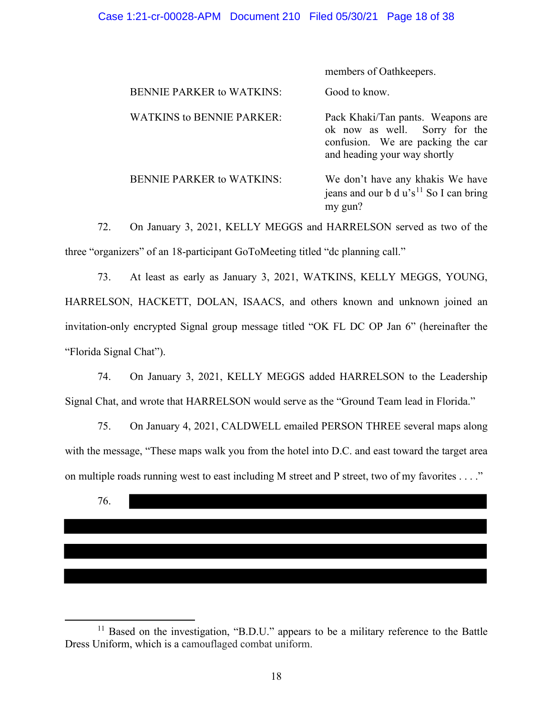| members of Oathkeepers.                                                                                                                 |
|-----------------------------------------------------------------------------------------------------------------------------------------|
| Good to know.                                                                                                                           |
| Pack Khaki/Tan pants. Weapons are<br>ok now as well. Sorry for the<br>confusion. We are packing the car<br>and heading your way shortly |
| We don't have any khakis We have<br>jeans and our b d u's <sup>11</sup> So I can bring<br>my gun?                                       |
|                                                                                                                                         |

72. On January 3, 2021, KELLY MEGGS and HARRELSON served as two of the three "organizers" of an 18-participant GoToMeeting titled "dc planning call."

73. At least as early as January 3, 2021, WATKINS, KELLY MEGGS, YOUNG, HARRELSON, HACKETT, DOLAN, ISAACS, and others known and unknown joined an invitation-only encrypted Signal group message titled "OK FL DC OP Jan 6" (hereinafter the "Florida Signal Chat").

74. On January 3, 2021, KELLY MEGGS added HARRELSON to the Leadership Signal Chat, and wrote that HARRELSON would serve as the "Ground Team lead in Florida."

75. On January 4, 2021, CALDWELL emailed PERSON THREE several maps along with the message, "These maps walk you from the hotel into D.C. and east toward the target area on multiple roads running west to east including M street and P street, two of my favorites . . . ."

76.

<sup>&</sup>lt;sup>11</sup> Based on the investigation, "B.D.U." appears to be a military reference to the Battle Dress Uniform, which is a camouflaged combat uniform.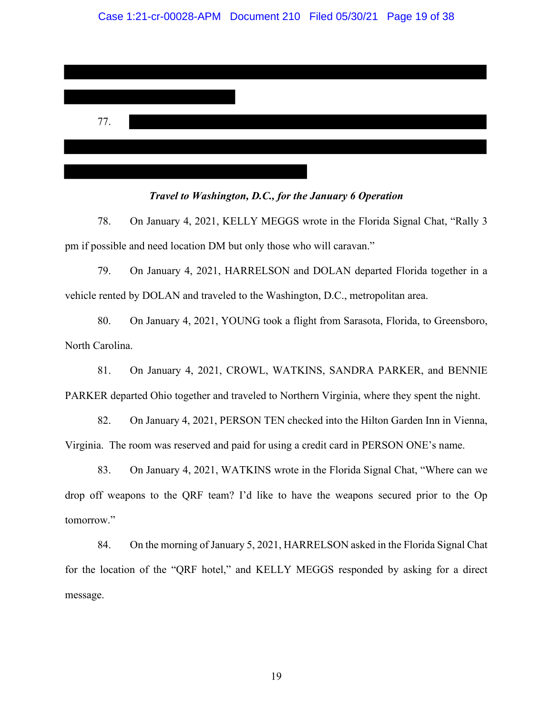

#### *Travel to Washington, D.C., for the January 6 Operation*

78. On January 4, 2021, KELLY MEGGS wrote in the Florida Signal Chat, "Rally 3 pm if possible and need location DM but only those who will caravan."

79. On January 4, 2021, HARRELSON and DOLAN departed Florida together in a vehicle rented by DOLAN and traveled to the Washington, D.C., metropolitan area.

80. On January 4, 2021, YOUNG took a flight from Sarasota, Florida, to Greensboro, North Carolina.

81. On January 4, 2021, CROWL, WATKINS, SANDRA PARKER, and BENNIE PARKER departed Ohio together and traveled to Northern Virginia, where they spent the night.

82. On January 4, 2021, PERSON TEN checked into the Hilton Garden Inn in Vienna, Virginia. The room was reserved and paid for using a credit card in PERSON ONE's name.

83. On January 4, 2021, WATKINS wrote in the Florida Signal Chat, "Where can we drop off weapons to the QRF team? I'd like to have the weapons secured prior to the Op tomorrow."

84. On the morning of January 5, 2021, HARRELSON asked in the Florida Signal Chat for the location of the "QRF hotel," and KELLY MEGGS responded by asking for a direct message.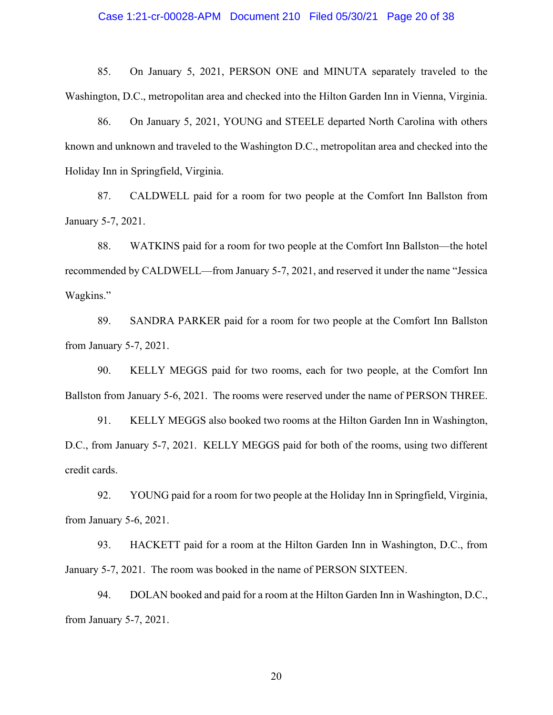85. On January 5, 2021, PERSON ONE and MINUTA separately traveled to the Washington, D.C., metropolitan area and checked into the Hilton Garden Inn in Vienna, Virginia.

86. On January 5, 2021, YOUNG and STEELE departed North Carolina with others known and unknown and traveled to the Washington D.C., metropolitan area and checked into the Holiday Inn in Springfield, Virginia.

87. CALDWELL paid for a room for two people at the Comfort Inn Ballston from January 5-7, 2021.

88. WATKINS paid for a room for two people at the Comfort Inn Ballston—the hotel recommended by CALDWELL—from January 5-7, 2021, and reserved it under the name "Jessica Wagkins."

89. SANDRA PARKER paid for a room for two people at the Comfort Inn Ballston from January 5-7, 2021.

90. KELLY MEGGS paid for two rooms, each for two people, at the Comfort Inn Ballston from January 5-6, 2021. The rooms were reserved under the name of PERSON THREE.

91. KELLY MEGGS also booked two rooms at the Hilton Garden Inn in Washington, D.C., from January 5-7, 2021. KELLY MEGGS paid for both of the rooms, using two different credit cards.

92. YOUNG paid for a room for two people at the Holiday Inn in Springfield, Virginia, from January 5-6, 2021.

93. HACKETT paid for a room at the Hilton Garden Inn in Washington, D.C., from January 5-7, 2021. The room was booked in the name of PERSON SIXTEEN.

94. DOLAN booked and paid for a room at the Hilton Garden Inn in Washington, D.C., from January 5-7, 2021.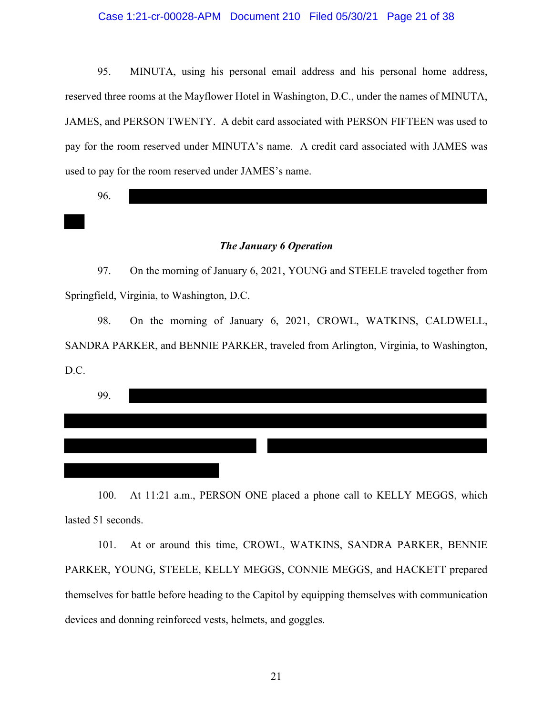### Case 1:21-cr-00028-APM Document 210 Filed 05/30/21 Page 21 of 38

95. MINUTA, using his personal email address and his personal home address, reserved three rooms at the Mayflower Hotel in Washington, D.C., under the names of MINUTA, JAMES, and PERSON TWENTY. A debit card associated with PERSON FIFTEEN was used to pay for the room reserved under MINUTA's name. A credit card associated with JAMES was used to pay for the room reserved under JAMES's name.

96.

## *The January 6 Operation*

97. On the morning of January 6, 2021, YOUNG and STEELE traveled together from Springfield, Virginia, to Washington, D.C.

98. On the morning of January 6, 2021, CROWL, WATKINS, CALDWELL, SANDRA PARKER, and BENNIE PARKER, traveled from Arlington, Virginia, to Washington, D.C.

| 99. |  |  |  |
|-----|--|--|--|
|     |  |  |  |
|     |  |  |  |
|     |  |  |  |

100. At 11:21 a.m., PERSON ONE placed a phone call to KELLY MEGGS, which lasted 51 seconds.

101. At or around this time, CROWL, WATKINS, SANDRA PARKER, BENNIE PARKER, YOUNG, STEELE, KELLY MEGGS, CONNIE MEGGS, and HACKETT prepared themselves for battle before heading to the Capitol by equipping themselves with communication devices and donning reinforced vests, helmets, and goggles.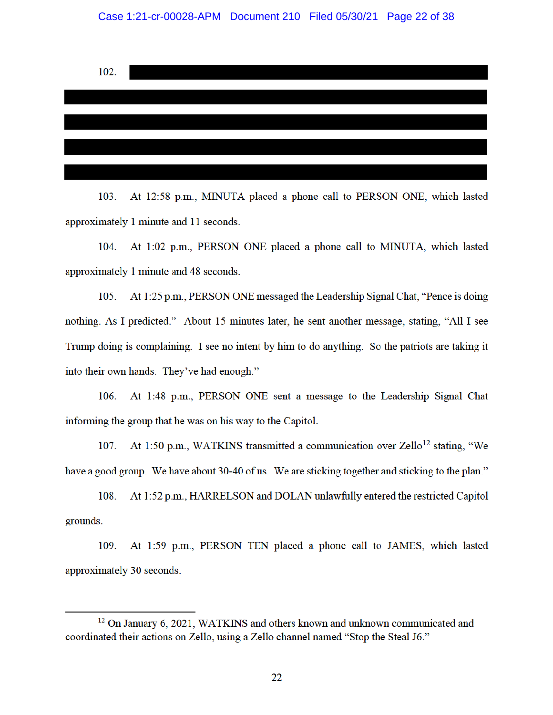

At 12:58 p.m., MINUTA placed a phone call to PERSON ONE, which lasted 103. approximately 1 minute and 11 seconds.

At 1:02 p.m., PERSON ONE placed a phone call to MINUTA, which lasted 104. approximately 1 minute and 48 seconds.

At 1:25 p.m., PERSON ONE messaged the Leadership Signal Chat, "Pence is doing 105. nothing. As I predicted." About 15 minutes later, he sent another message, stating, "All I see Trump doing is complaining. I see no intent by him to do anything. So the patriots are taking it into their own hands. They've had enough."

At 1:48 p.m., PERSON ONE sent a message to the Leadership Signal Chat 106. informing the group that he was on his way to the Capitol.

At 1:50 p.m., WATKINS transmitted a communication over Zello<sup>12</sup> stating, "We 107. have a good group. We have about 30-40 of us. We are sticking together and sticking to the plan."

At 1:52 p.m., HARRELSON and DOLAN unlawfully entered the restricted Capitol 108. grounds.

109. At 1:59 p.m., PERSON TEN placed a phone call to JAMES, which lasted approximately 30 seconds.

<sup>&</sup>lt;sup>12</sup> On January 6, 2021, WATKINS and others known and unknown communicated and coordinated their actions on Zello, using a Zello channel named "Stop the Steal J6."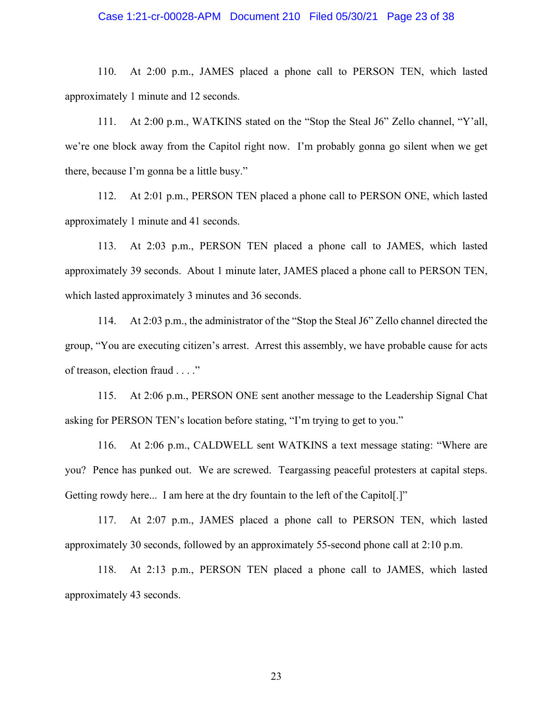#### Case 1:21-cr-00028-APM Document 210 Filed 05/30/21 Page 23 of 38

110. At 2:00 p.m., JAMES placed a phone call to PERSON TEN, which lasted approximately 1 minute and 12 seconds.

111. At 2:00 p.m., WATKINS stated on the "Stop the Steal J6" Zello channel, "Y'all, we're one block away from the Capitol right now. I'm probably gonna go silent when we get there, because I'm gonna be a little busy."

112. At 2:01 p.m., PERSON TEN placed a phone call to PERSON ONE, which lasted approximately 1 minute and 41 seconds.

113. At 2:03 p.m., PERSON TEN placed a phone call to JAMES, which lasted approximately 39 seconds. About 1 minute later, JAMES placed a phone call to PERSON TEN, which lasted approximately 3 minutes and 36 seconds.

114. At 2:03 p.m., the administrator of the "Stop the Steal J6" Zello channel directed the group, "You are executing citizen's arrest. Arrest this assembly, we have probable cause for acts of treason, election fraud . . . ."

115. At 2:06 p.m., PERSON ONE sent another message to the Leadership Signal Chat asking for PERSON TEN's location before stating, "I'm trying to get to you."

116. At 2:06 p.m., CALDWELL sent WATKINS a text message stating: "Where are you? Pence has punked out. We are screwed. Teargassing peaceful protesters at capital steps. Getting rowdy here... I am here at the dry fountain to the left of the Capitol[.]"

117. At 2:07 p.m., JAMES placed a phone call to PERSON TEN, which lasted approximately 30 seconds, followed by an approximately 55-second phone call at 2:10 p.m.

118. At 2:13 p.m., PERSON TEN placed a phone call to JAMES, which lasted approximately 43 seconds.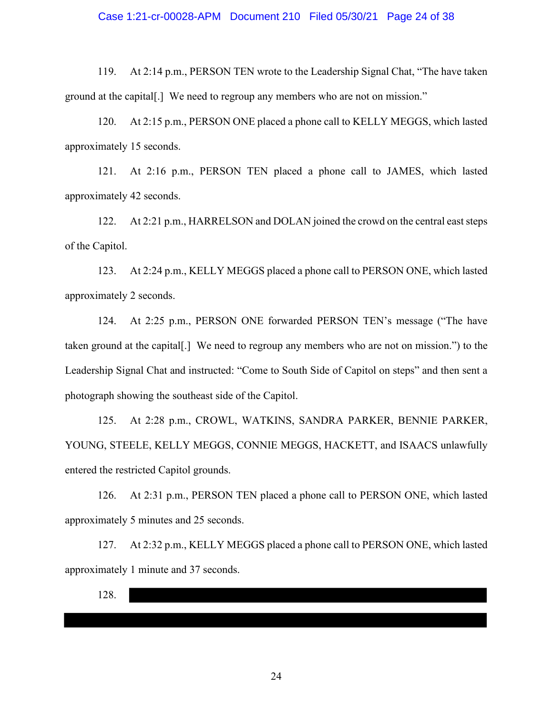#### Case 1:21-cr-00028-APM Document 210 Filed 05/30/21 Page 24 of 38

119. At 2:14 p.m., PERSON TEN wrote to the Leadership Signal Chat, "The have taken ground at the capital[.] We need to regroup any members who are not on mission."

120. At 2:15 p.m., PERSON ONE placed a phone call to KELLY MEGGS, which lasted approximately 15 seconds.

121. At 2:16 p.m., PERSON TEN placed a phone call to JAMES, which lasted approximately 42 seconds.

122. At 2:21 p.m., HARRELSON and DOLAN joined the crowd on the central east steps of the Capitol.

123. At 2:24 p.m., KELLY MEGGS placed a phone call to PERSON ONE, which lasted approximately 2 seconds.

124. At 2:25 p.m., PERSON ONE forwarded PERSON TEN's message ("The have taken ground at the capital[.] We need to regroup any members who are not on mission.") to the Leadership Signal Chat and instructed: "Come to South Side of Capitol on steps" and then sent a photograph showing the southeast side of the Capitol.

125. At 2:28 p.m., CROWL, WATKINS, SANDRA PARKER, BENNIE PARKER, YOUNG, STEELE, KELLY MEGGS, CONNIE MEGGS, HACKETT, and ISAACS unlawfully entered the restricted Capitol grounds.

126. At 2:31 p.m., PERSON TEN placed a phone call to PERSON ONE, which lasted approximately 5 minutes and 25 seconds.

127. At 2:32 p.m., KELLY MEGGS placed a phone call to PERSON ONE, which lasted approximately 1 minute and 37 seconds.

128.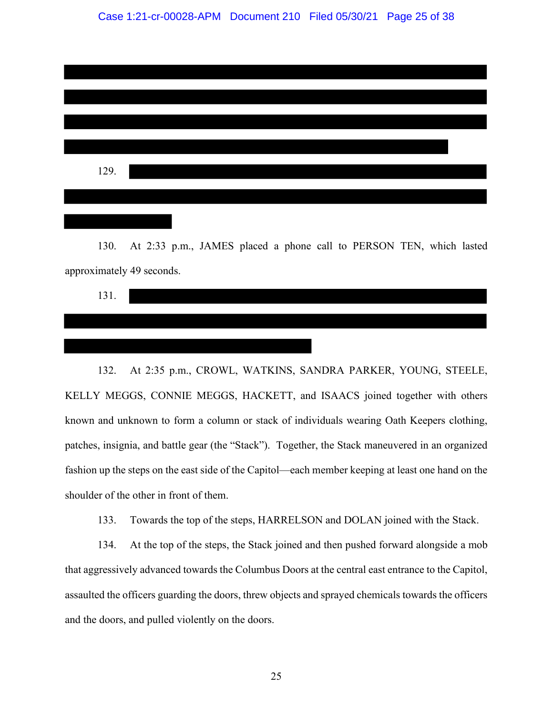| 129. |  |  |  |
|------|--|--|--|
|      |  |  |  |
|      |  |  |  |

130. At 2:33 p.m., JAMES placed a phone call to PERSON TEN, which lasted approximately 49 seconds.

131.

132. At 2:35 p.m., CROWL, WATKINS, SANDRA PARKER, YOUNG, STEELE, KELLY MEGGS, CONNIE MEGGS, HACKETT, and ISAACS joined together with others known and unknown to form a column or stack of individuals wearing Oath Keepers clothing, patches, insignia, and battle gear (the "Stack"). Together, the Stack maneuvered in an organized fashion up the steps on the east side of the Capitol—each member keeping at least one hand on the shoulder of the other in front of them.

133. Towards the top of the steps, HARRELSON and DOLAN joined with the Stack.

134. At the top of the steps, the Stack joined and then pushed forward alongside a mob that aggressively advanced towards the Columbus Doors at the central east entrance to the Capitol, assaulted the officers guarding the doors, threw objects and sprayed chemicals towards the officers and the doors, and pulled violently on the doors.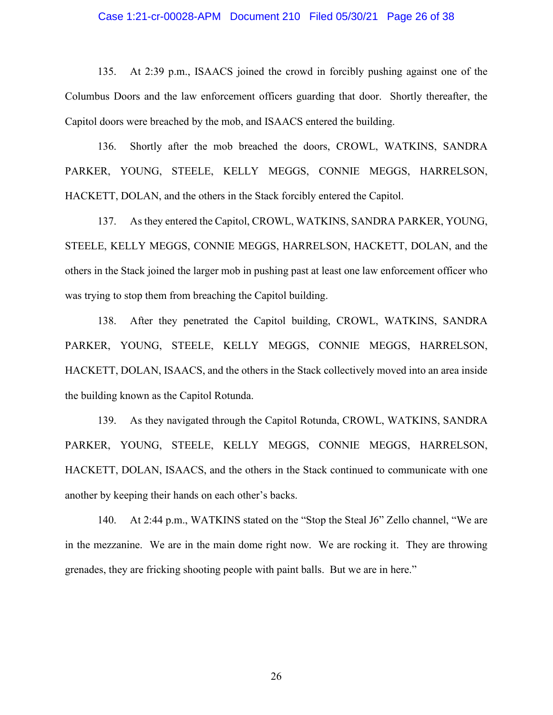#### Case 1:21-cr-00028-APM Document 210 Filed 05/30/21 Page 26 of 38

135. At 2:39 p.m., ISAACS joined the crowd in forcibly pushing against one of the Columbus Doors and the law enforcement officers guarding that door. Shortly thereafter, the Capitol doors were breached by the mob, and ISAACS entered the building.

136. Shortly after the mob breached the doors, CROWL, WATKINS, SANDRA PARKER, YOUNG, STEELE, KELLY MEGGS, CONNIE MEGGS, HARRELSON, HACKETT, DOLAN, and the others in the Stack forcibly entered the Capitol.

137. As they entered the Capitol, CROWL, WATKINS, SANDRA PARKER, YOUNG, STEELE, KELLY MEGGS, CONNIE MEGGS, HARRELSON, HACKETT, DOLAN, and the others in the Stack joined the larger mob in pushing past at least one law enforcement officer who was trying to stop them from breaching the Capitol building.

138. After they penetrated the Capitol building, CROWL, WATKINS, SANDRA PARKER, YOUNG, STEELE, KELLY MEGGS, CONNIE MEGGS, HARRELSON, HACKETT, DOLAN, ISAACS, and the others in the Stack collectively moved into an area inside the building known as the Capitol Rotunda.

139. As they navigated through the Capitol Rotunda, CROWL, WATKINS, SANDRA PARKER, YOUNG, STEELE, KELLY MEGGS, CONNIE MEGGS, HARRELSON, HACKETT, DOLAN, ISAACS, and the others in the Stack continued to communicate with one another by keeping their hands on each other's backs.

140. At 2:44 p.m., WATKINS stated on the "Stop the Steal J6" Zello channel, "We are in the mezzanine. We are in the main dome right now. We are rocking it. They are throwing grenades, they are fricking shooting people with paint balls. But we are in here."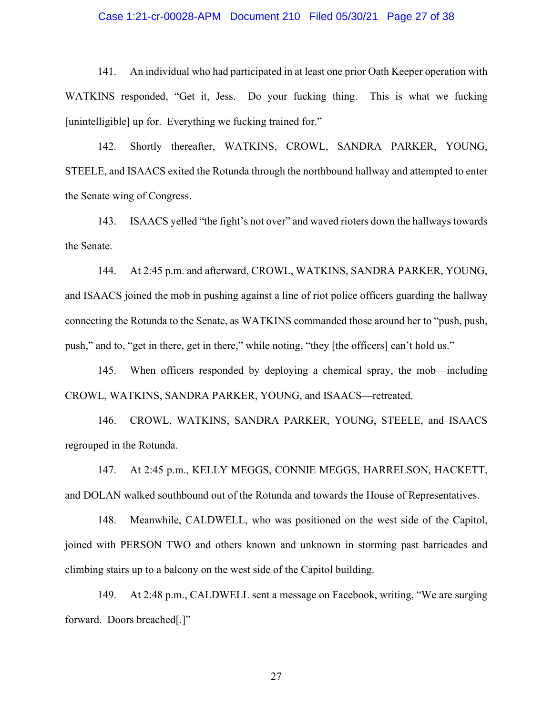#### Case 1:21-cr-00028-APM Document 210 Filed 05/30/21 Page 27 of 38

141. An individual who had participated in at least one prior Oath Keeper operation with WATKINS responded, "Get it, Jess. Do your fucking thing. This is what we fucking [unintelligible] up for. Everything we fucking trained for."

142. Shortly thereafter, WATKINS, CROWL, SANDRA PARKER, YOUNG, STEELE, and ISAACS exited the Rotunda through the northbound hallway and attempted to enter the Senate wing of Congress.

143. ISAACS yelled "the fight's not over" and waved rioters down the hallways towards the Senate.

144. At 2:45 p.m. and afterward, CROWL, WATKINS, SANDRA PARKER, YOUNG, and ISAACS joined the mob in pushing against a line of riot police officers guarding the hallway connecting the Rotunda to the Senate, as WATKINS commanded those around her to "push, push, push," and to, "get in there, get in there," while noting, "they [the officers] can't hold us."

145. When officers responded by deploying a chemical spray, the mob—including CROWL, WATKINS, SANDRA PARKER, YOUNG, and ISAACS—retreated.

146. CROWL, WATKINS, SANDRA PARKER, YOUNG, STEELE, and ISAACS regrouped in the Rotunda.

147. At 2:45 p.m., KELLY MEGGS, CONNIE MEGGS, HARRELSON, HACKETT, and DOLAN walked southbound out of the Rotunda and towards the House of Representatives.

148. Meanwhile, CALDWELL, who was positioned on the west side of the Capitol, joined with PERSON TWO and others known and unknown in storming past barricades and climbing stairs up to a balcony on the west side of the Capitol building.

149. At 2:48 p.m., CALDWELL sent a message on Facebook, writing, "We are surging forward. Doors breached[.]"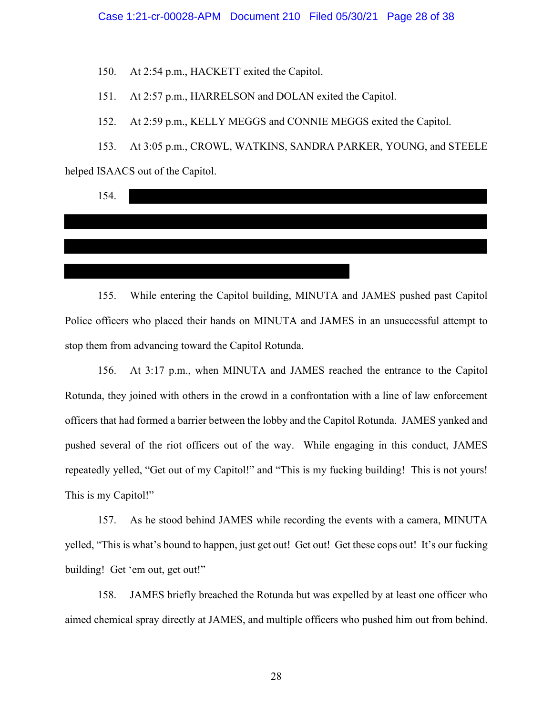150. At 2:54 p.m., HACKETT exited the Capitol.

151. At 2:57 p.m., HARRELSON and DOLAN exited the Capitol.

152. At 2:59 p.m., KELLY MEGGS and CONNIE MEGGS exited the Capitol.

153. At 3:05 p.m., CROWL, WATKINS, SANDRA PARKER, YOUNG, and STEELE helped ISAACS out of the Capitol.

| 154. |  |  |  |
|------|--|--|--|
|      |  |  |  |
|      |  |  |  |
|      |  |  |  |
|      |  |  |  |

155. While entering the Capitol building, MINUTA and JAMES pushed past Capitol Police officers who placed their hands on MINUTA and JAMES in an unsuccessful attempt to stop them from advancing toward the Capitol Rotunda.

156. At 3:17 p.m., when MINUTA and JAMES reached the entrance to the Capitol Rotunda, they joined with others in the crowd in a confrontation with a line of law enforcement officers that had formed a barrier between the lobby and the Capitol Rotunda. JAMES yanked and pushed several of the riot officers out of the way. While engaging in this conduct, JAMES repeatedly yelled, "Get out of my Capitol!" and "This is my fucking building! This is not yours! This is my Capitol!"

157. As he stood behind JAMES while recording the events with a camera, MINUTA yelled, "This is what's bound to happen, just get out! Get out! Get these cops out! It's our fucking building! Get 'em out, get out!"

158. JAMES briefly breached the Rotunda but was expelled by at least one officer who aimed chemical spray directly at JAMES, and multiple officers who pushed him out from behind.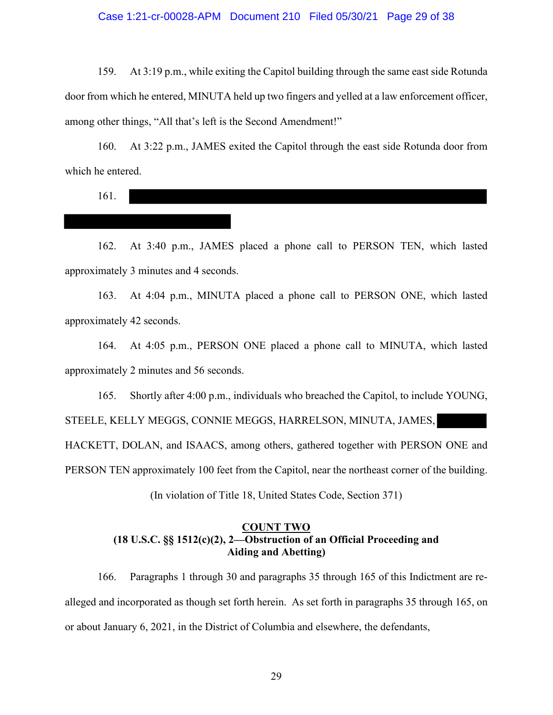#### Case 1:21-cr-00028-APM Document 210 Filed 05/30/21 Page 29 of 38

159. At 3:19 p.m., while exiting the Capitol building through the same east side Rotunda door from which he entered, MINUTA held up two fingers and yelled at a law enforcement officer, among other things, "All that's left is the Second Amendment!"

160. At 3:22 p.m., JAMES exited the Capitol through the east side Rotunda door from which he entered.

161.

162. At 3:40 p.m., JAMES placed a phone call to PERSON TEN, which lasted approximately 3 minutes and 4 seconds.

163. At 4:04 p.m., MINUTA placed a phone call to PERSON ONE, which lasted approximately 42 seconds.

164. At 4:05 p.m., PERSON ONE placed a phone call to MINUTA, which lasted approximately 2 minutes and 56 seconds.

165. Shortly after 4:00 p.m., individuals who breached the Capitol, to include YOUNG,

STEELE, KELLY MEGGS, CONNIE MEGGS, HARRELSON, MINUTA, JAMES,

HACKETT, DOLAN, and ISAACS, among others, gathered together with PERSON ONE and

PERSON TEN approximately 100 feet from the Capitol, near the northeast corner of the building.

(In violation of Title 18, United States Code, Section 371)

# **COUNT TWO (18 U.S.C. §§ 1512(c)(2), 2—Obstruction of an Official Proceeding and Aiding and Abetting)**

166. Paragraphs 1 through 30 and paragraphs 35 through 165 of this Indictment are realleged and incorporated as though set forth herein. As set forth in paragraphs 35 through 165, on or about January 6, 2021, in the District of Columbia and elsewhere, the defendants,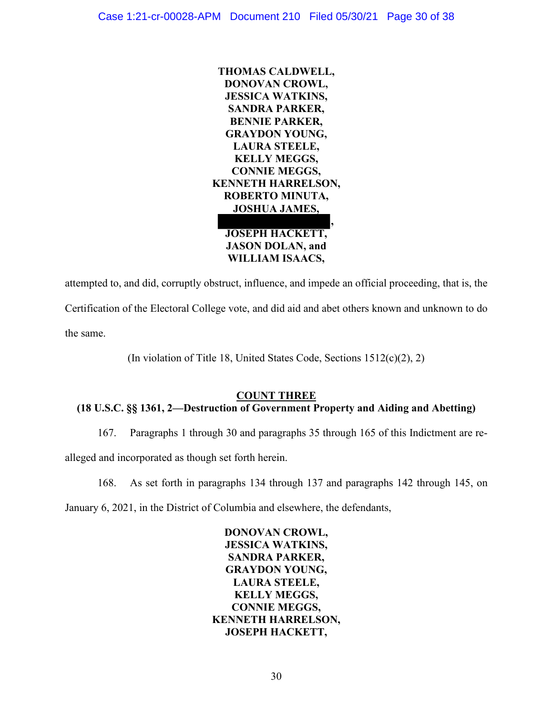

attempted to, and did, corruptly obstruct, influence, and impede an official proceeding, that is, the Certification of the Electoral College vote, and did aid and abet others known and unknown to do the same.

(In violation of Title 18, United States Code, Sections 1512(c)(2), 2)

# **COUNT THREE**

# **(18 U.S.C. §§ 1361, 2—Destruction of Government Property and Aiding and Abetting)**

167. Paragraphs 1 through 30 and paragraphs 35 through 165 of this Indictment are re-

alleged and incorporated as though set forth herein.

168. As set forth in paragraphs 134 through 137 and paragraphs 142 through 145, on

January 6, 2021, in the District of Columbia and elsewhere, the defendants,

**DONOVAN CROWL, JESSICA WATKINS, SANDRA PARKER, GRAYDON YOUNG, LAURA STEELE, KELLY MEGGS, CONNIE MEGGS, KENNETH HARRELSON, JOSEPH HACKETT,**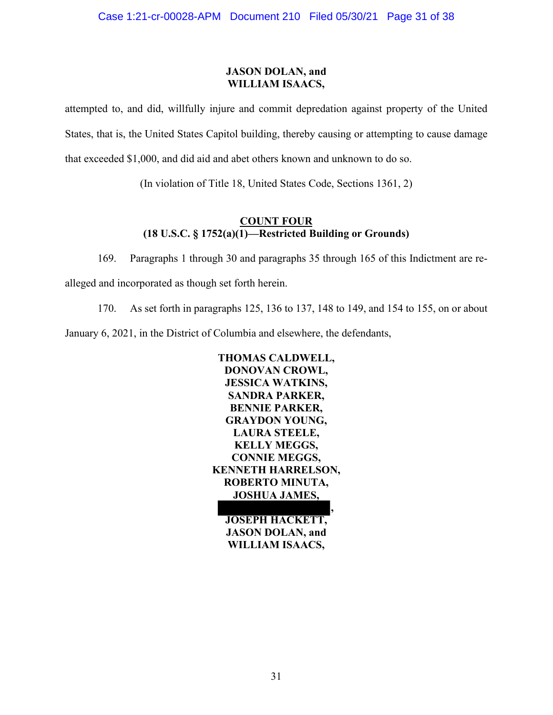## **JASON DOLAN, and WILLIAM ISAACS,**

attempted to, and did, willfully injure and commit depredation against property of the United States, that is, the United States Capitol building, thereby causing or attempting to cause damage that exceeded \$1,000, and did aid and abet others known and unknown to do so.

(In violation of Title 18, United States Code, Sections 1361, 2)

# **COUNT FOUR (18 U.S.C. § 1752(a)(1)—Restricted Building or Grounds)**

169. Paragraphs 1 through 30 and paragraphs 35 through 165 of this Indictment are re-

alleged and incorporated as though set forth herein.

170. As set forth in paragraphs 125, 136 to 137, 148 to 149, and 154 to 155, on or about

January 6, 2021, in the District of Columbia and elsewhere, the defendants,



**WILLIAM ISAACS,**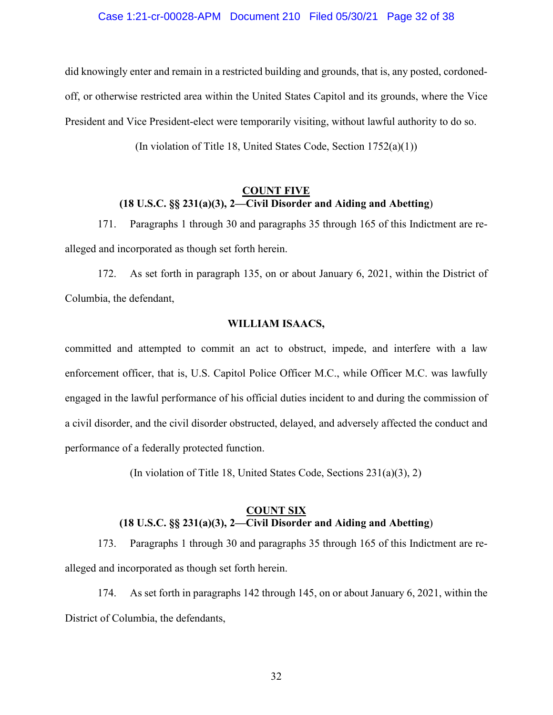#### Case 1:21-cr-00028-APM Document 210 Filed 05/30/21 Page 32 of 38

did knowingly enter and remain in a restricted building and grounds, that is, any posted, cordonedoff, or otherwise restricted area within the United States Capitol and its grounds, where the Vice President and Vice President-elect were temporarily visiting, without lawful authority to do so.

(In violation of Title 18, United States Code, Section 1752(a)(1))

# **COUNT FIVE (18 U.S.C. §§ 231(a)(3), 2—Civil Disorder and Aiding and Abetting**)

171. Paragraphs 1 through 30 and paragraphs 35 through 165 of this Indictment are realleged and incorporated as though set forth herein.

172. As set forth in paragraph 135, on or about January 6, 2021, within the District of Columbia, the defendant,

### **WILLIAM ISAACS,**

committed and attempted to commit an act to obstruct, impede, and interfere with a law enforcement officer, that is, U.S. Capitol Police Officer M.C., while Officer M.C. was lawfully engaged in the lawful performance of his official duties incident to and during the commission of a civil disorder, and the civil disorder obstructed, delayed, and adversely affected the conduct and performance of a federally protected function.

(In violation of Title 18, United States Code, Sections 231(a)(3), 2)

## **COUNT SIX (18 U.S.C. §§ 231(a)(3), 2—Civil Disorder and Aiding and Abetting**)

173. Paragraphs 1 through 30 and paragraphs 35 through 165 of this Indictment are realleged and incorporated as though set forth herein.

174. As set forth in paragraphs 142 through 145, on or about January 6, 2021, within the District of Columbia, the defendants,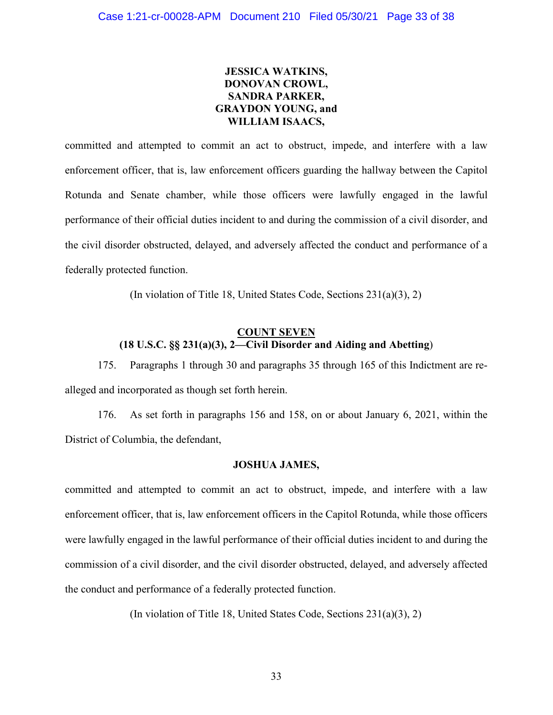# **JESSICA WATKINS, DONOVAN CROWL, SANDRA PARKER, GRAYDON YOUNG, and WILLIAM ISAACS,**

committed and attempted to commit an act to obstruct, impede, and interfere with a law enforcement officer, that is, law enforcement officers guarding the hallway between the Capitol Rotunda and Senate chamber, while those officers were lawfully engaged in the lawful performance of their official duties incident to and during the commission of a civil disorder, and the civil disorder obstructed, delayed, and adversely affected the conduct and performance of a federally protected function.

(In violation of Title 18, United States Code, Sections 231(a)(3), 2)

# **COUNT SEVEN (18 U.S.C. §§ 231(a)(3), 2—Civil Disorder and Aiding and Abetting**)

175. Paragraphs 1 through 30 and paragraphs 35 through 165 of this Indictment are realleged and incorporated as though set forth herein.

176. As set forth in paragraphs 156 and 158, on or about January 6, 2021, within the District of Columbia, the defendant,

# **JOSHUA JAMES,**

committed and attempted to commit an act to obstruct, impede, and interfere with a law enforcement officer, that is, law enforcement officers in the Capitol Rotunda, while those officers were lawfully engaged in the lawful performance of their official duties incident to and during the commission of a civil disorder, and the civil disorder obstructed, delayed, and adversely affected the conduct and performance of a federally protected function.

(In violation of Title 18, United States Code, Sections 231(a)(3), 2)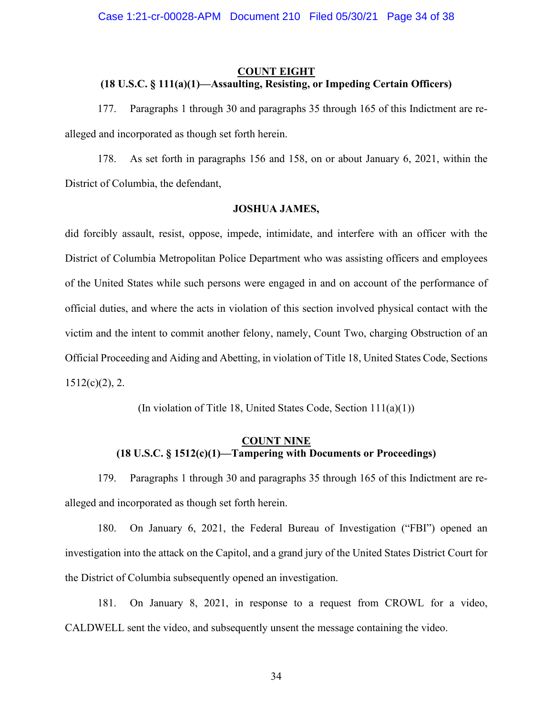# **COUNT EIGHT (18 U.S.C. § 111(a)(1)—Assaulting, Resisting, or Impeding Certain Officers)**

177. Paragraphs 1 through 30 and paragraphs 35 through 165 of this Indictment are realleged and incorporated as though set forth herein.

178. As set forth in paragraphs 156 and 158, on or about January 6, 2021, within the District of Columbia, the defendant,

## **JOSHUA JAMES,**

did forcibly assault, resist, oppose, impede, intimidate, and interfere with an officer with the District of Columbia Metropolitan Police Department who was assisting officers and employees of the United States while such persons were engaged in and on account of the performance of official duties, and where the acts in violation of this section involved physical contact with the victim and the intent to commit another felony, namely, Count Two, charging Obstruction of an Official Proceeding and Aiding and Abetting, in violation of Title 18, United States Code, Sections  $1512(c)(2)$ , 2.

(In violation of Title 18, United States Code, Section 111(a)(1))

# **COUNT NINE (18 U.S.C. § 1512(c)(1)—Tampering with Documents or Proceedings)**

179. Paragraphs 1 through 30 and paragraphs 35 through 165 of this Indictment are realleged and incorporated as though set forth herein.

180. On January 6, 2021, the Federal Bureau of Investigation ("FBI") opened an investigation into the attack on the Capitol, and a grand jury of the United States District Court for the District of Columbia subsequently opened an investigation.

181. On January 8, 2021, in response to a request from CROWL for a video, CALDWELL sent the video, and subsequently unsent the message containing the video.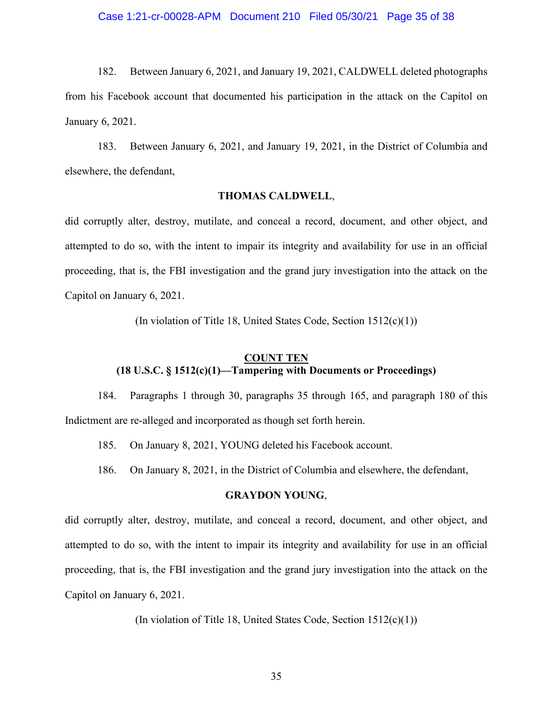182. Between January 6, 2021, and January 19, 2021, CALDWELL deleted photographs from his Facebook account that documented his participation in the attack on the Capitol on January 6, 2021.

183. Between January 6, 2021, and January 19, 2021, in the District of Columbia and elsewhere, the defendant,

### **THOMAS CALDWELL**,

did corruptly alter, destroy, mutilate, and conceal a record, document, and other object, and attempted to do so, with the intent to impair its integrity and availability for use in an official proceeding, that is, the FBI investigation and the grand jury investigation into the attack on the Capitol on January 6, 2021.

(In violation of Title 18, United States Code, Section 1512(c)(1))

# **COUNT TEN (18 U.S.C. § 1512(c)(1)—Tampering with Documents or Proceedings)**

184. Paragraphs 1 through 30, paragraphs 35 through 165, and paragraph 180 of this Indictment are re-alleged and incorporated as though set forth herein.

185. On January 8, 2021, YOUNG deleted his Facebook account.

186. On January 8, 2021, in the District of Columbia and elsewhere, the defendant,

#### **GRAYDON YOUNG**,

did corruptly alter, destroy, mutilate, and conceal a record, document, and other object, and attempted to do so, with the intent to impair its integrity and availability for use in an official proceeding, that is, the FBI investigation and the grand jury investigation into the attack on the Capitol on January 6, 2021.

(In violation of Title 18, United States Code, Section 1512(c)(1))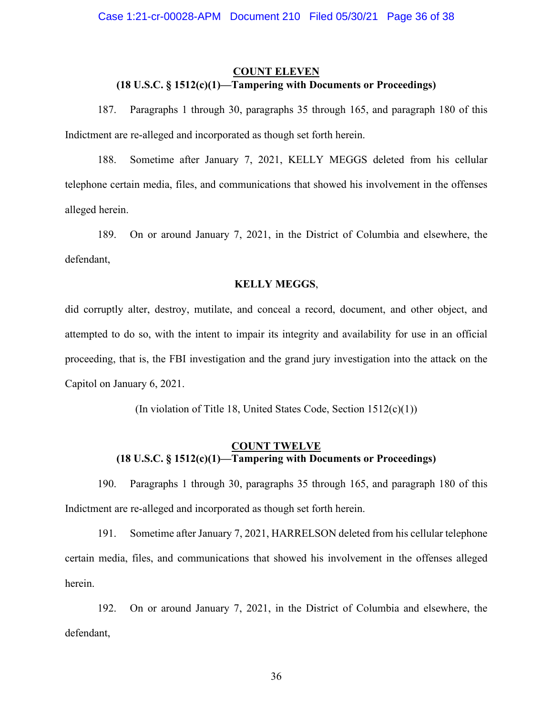# **COUNT ELEVEN (18 U.S.C. § 1512(c)(1)—Tampering with Documents or Proceedings)**

187. Paragraphs 1 through 30, paragraphs 35 through 165, and paragraph 180 of this Indictment are re-alleged and incorporated as though set forth herein.

188. Sometime after January 7, 2021, KELLY MEGGS deleted from his cellular telephone certain media, files, and communications that showed his involvement in the offenses alleged herein.

189. On or around January 7, 2021, in the District of Columbia and elsewhere, the defendant,

### **KELLY MEGGS**,

did corruptly alter, destroy, mutilate, and conceal a record, document, and other object, and attempted to do so, with the intent to impair its integrity and availability for use in an official proceeding, that is, the FBI investigation and the grand jury investigation into the attack on the Capitol on January 6, 2021.

(In violation of Title 18, United States Code, Section 1512(c)(1))

# **COUNT TWELVE (18 U.S.C. § 1512(c)(1)—Tampering with Documents or Proceedings)**

190. Paragraphs 1 through 30, paragraphs 35 through 165, and paragraph 180 of this Indictment are re-alleged and incorporated as though set forth herein.

191. Sometime after January 7, 2021, HARRELSON deleted from his cellular telephone certain media, files, and communications that showed his involvement in the offenses alleged herein.

192. On or around January 7, 2021, in the District of Columbia and elsewhere, the defendant,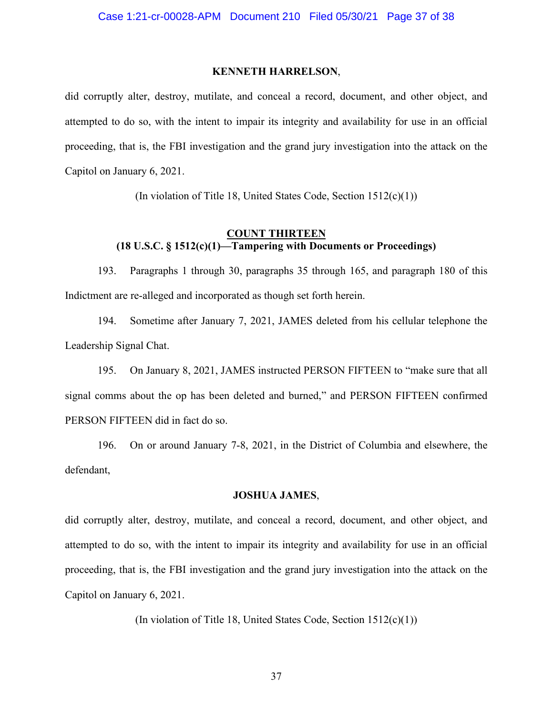#### **KENNETH HARRELSON**,

did corruptly alter, destroy, mutilate, and conceal a record, document, and other object, and attempted to do so, with the intent to impair its integrity and availability for use in an official proceeding, that is, the FBI investigation and the grand jury investigation into the attack on the Capitol on January 6, 2021.

(In violation of Title 18, United States Code, Section 1512(c)(1))

## **COUNT THIRTEEN (18 U.S.C. § 1512(c)(1)—Tampering with Documents or Proceedings)**

193. Paragraphs 1 through 30, paragraphs 35 through 165, and paragraph 180 of this Indictment are re-alleged and incorporated as though set forth herein.

194. Sometime after January 7, 2021, JAMES deleted from his cellular telephone the Leadership Signal Chat.

195. On January 8, 2021, JAMES instructed PERSON FIFTEEN to "make sure that all signal comms about the op has been deleted and burned," and PERSON FIFTEEN confirmed PERSON FIFTEEN did in fact do so.

196. On or around January 7-8, 2021, in the District of Columbia and elsewhere, the defendant,

#### **JOSHUA JAMES**,

did corruptly alter, destroy, mutilate, and conceal a record, document, and other object, and attempted to do so, with the intent to impair its integrity and availability for use in an official proceeding, that is, the FBI investigation and the grand jury investigation into the attack on the Capitol on January 6, 2021.

(In violation of Title 18, United States Code, Section 1512(c)(1))